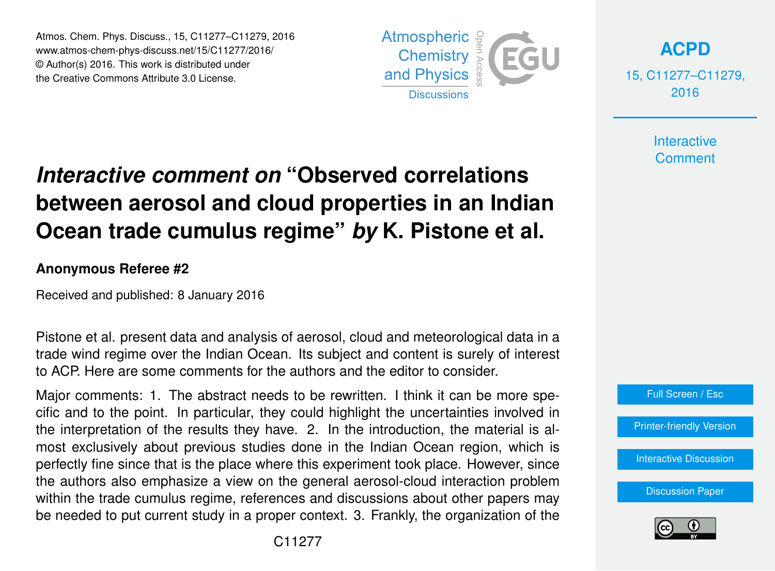Atmos. Chem. Phys. Discuss., 15, C11277–C11279, 2016 www.atmos-chem-phys-discuss.net/15/C11277/2016/ © Author(s) 2016. This work is distributed under the Creative Commons Attribute 3.0 License.



**[ACPD](http://www.atmos-chem-phys-discuss.net)**

15, C11277–C11279, 2016

> **Interactive Comment**

## *Interactive comment on* **"Observed correlations between aerosol and cloud properties in an Indian Ocean trade cumulus regime"** *by* **K. Pistone et al.**

## **Anonymous Referee #2**

Received and published: 8 January 2016

Pistone et al. present data and analysis of aerosol, cloud and meteorological data in a trade wind regime over the Indian Ocean. Its subject and content is surely of interest to ACP. Here are some comments for the authors and the editor to consider.

Major comments: 1. The abstract needs to be rewritten. I think it can be more specific and to the point. In particular, they could highlight the uncertainties involved in the interpretation of the results they have. 2. In the introduction, the material is almost exclusively about previous studies done in the Indian Ocean region, which is perfectly fine since that is the place where this experiment took place. However, since the authors also emphasize a view on the general aerosol-cloud interaction problem within the trade cumulus regime, references and discussions about other papers may be needed to put current study in a proper context. 3. Frankly, the organization of the



[Interactive Discussion](http://www.atmos-chem-phys-discuss.net/15/29347/2015/acpd-15-29347-2015-discussion.html)

[Discussion Paper](http://www.atmos-chem-phys-discuss.net/15/29347/2015/acpd-15-29347-2015.pdf)

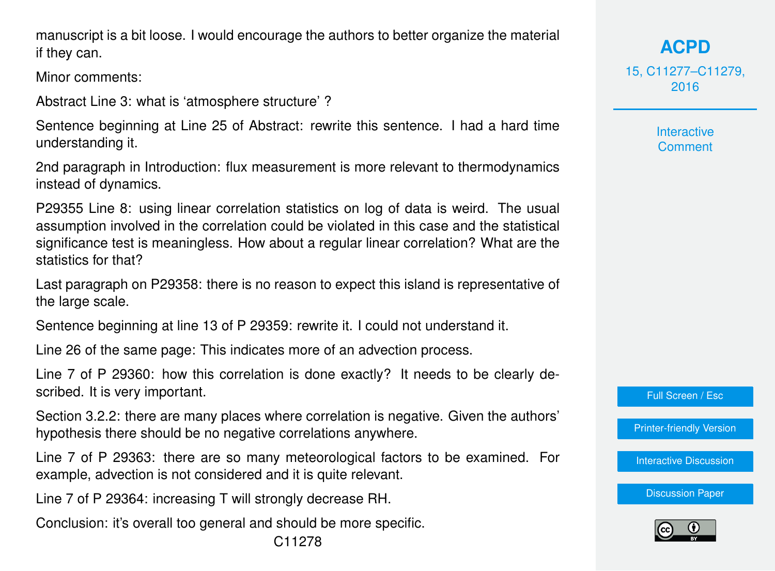manuscript is a bit loose. I would encourage the authors to better organize the material if they can.

Minor comments:

Abstract Line 3: what is 'atmosphere structure' ?

Sentence beginning at Line 25 of Abstract: rewrite this sentence. I had a hard time understanding it.

2nd paragraph in Introduction: flux measurement is more relevant to thermodynamics instead of dynamics.

P29355 Line 8: using linear correlation statistics on log of data is weird. The usual assumption involved in the correlation could be violated in this case and the statistical significance test is meaningless. How about a regular linear correlation? What are the statistics for that?

Last paragraph on P29358: there is no reason to expect this island is representative of the large scale.

Sentence beginning at line 13 of P 29359: rewrite it. I could not understand it.

Line 26 of the same page: This indicates more of an advection process.

Line 7 of P 29360: how this correlation is done exactly? It needs to be clearly described. It is very important.

Section 3.2.2: there are many places where correlation is negative. Given the authors' hypothesis there should be no negative correlations anywhere.

Line 7 of P 29363: there are so many meteorological factors to be examined. For example, advection is not considered and it is quite relevant.

Line 7 of P 29364: increasing T will strongly decrease RH.

Conclusion: it's overall too general and should be more specific.

**[ACPD](http://www.atmos-chem-phys-discuss.net)** 15, C11277–C11279, 2016

> **Interactive Comment**

Full Screen / Esc

[Printer-friendly Version](http://www.atmos-chem-phys-discuss.net/15/C11277/2016/acpd-15-C11277-2016-print.pdf)

[Interactive Discussion](http://www.atmos-chem-phys-discuss.net/15/29347/2015/acpd-15-29347-2015-discussion.html)

[Discussion Paper](http://www.atmos-chem-phys-discuss.net/15/29347/2015/acpd-15-29347-2015.pdf)